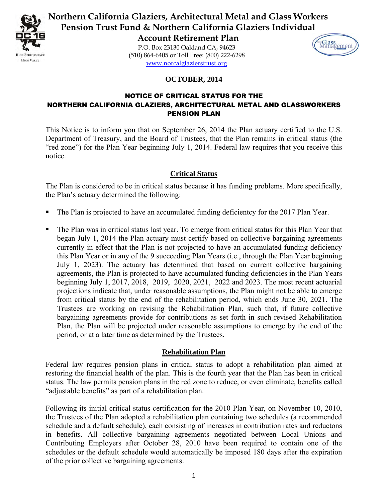

**Northern California Glaziers, Architectural Metal and Glass Workers Pension Trust Fund & Northern California Glaziers Individual** 

> **Account Retirement Plan**  P.O. Box 23130 Oakland CA, 94623 (510) 864-6405 or Toll Free: (800) 222-6298 [www.norcalglazierstrust.org](http://www.norcalglazierstrust.org/)



### **OCTOBER, 2014**

## NOTICE OF CRITICAL STATUS FOR THE NORTHERN CALIFORNIA GLAZIERS, ARCHITECTURAL METAL AND GLASSWORKERS PENSION PLAN

This Notice is to inform you that on September 26, 2014 the Plan actuary certified to the U.S. Department of Treasury, and the Board of Trustees, that the Plan remains in critical status (the "red zone") for the Plan Year beginning July 1, 2014. Federal law requires that you receive this notice.

## **Critical Status**

The Plan is considered to be in critical status because it has funding problems. More specifically, the Plan's actuary determined the following:

- The Plan is projected to have an accumulated funding deficientcy for the 2017 Plan Year.
- The Plan was in critical status last year. To emerge from critical status for this Plan Year that began July 1, 2014 the Plan actuary must certify based on collective bargaining agreements currently in effect that the Plan is not projected to have an accumulated funding deficiency this Plan Year or in any of the 9 succeeding Plan Years (i.e., through the Plan Year beginning July 1, 2023). The actuary has determined that based on current collective bargaining agreements, the Plan is projected to have accumulated funding deficiencies in the Plan Years beginning July 1, 2017, 2018, 2019, 2020, 2021, 2022 and 2023. The most recent actuarial projections indicate that, under reasonable assumptions, the Plan might not be able to emerge from critical status by the end of the rehabilitation period, which ends June 30, 2021. The Trustees are working on revising the Rehabilitation Plan, such that, if future collective bargaining agreements provide for contributions as set forth in such revised Rehabilitation Plan, the Plan will be projected under reasonable assumptions to emerge by the end of the period, or at a later time as determined by the Trustees.

# **Rehabilitation Plan**

Federal law requires pension plans in critical status to adopt a rehabilitation plan aimed at restoring the financial health of the plan. This is the fourth year that the Plan has been in critical status. The law permits pension plans in the red zone to reduce, or even eliminate, benefits called "adjustable benefits" as part of a rehabilitation plan.

Following its initial critical status certification for the 2010 Plan Year, on November 10, 2010, the Trustees of the Plan adopted a rehabilitation plan containing two schedules (a recommended schedule and a default schedule), each consisting of increases in contribution rates and reductons in benefits. All collective bargaining agreements negotiated between Local Unions and Contributing Employers after October 28, 2010 have been required to contain one of the schedules or the default schedule would automatically be imposed 180 days after the expiration of the prior collective bargaining agreements.